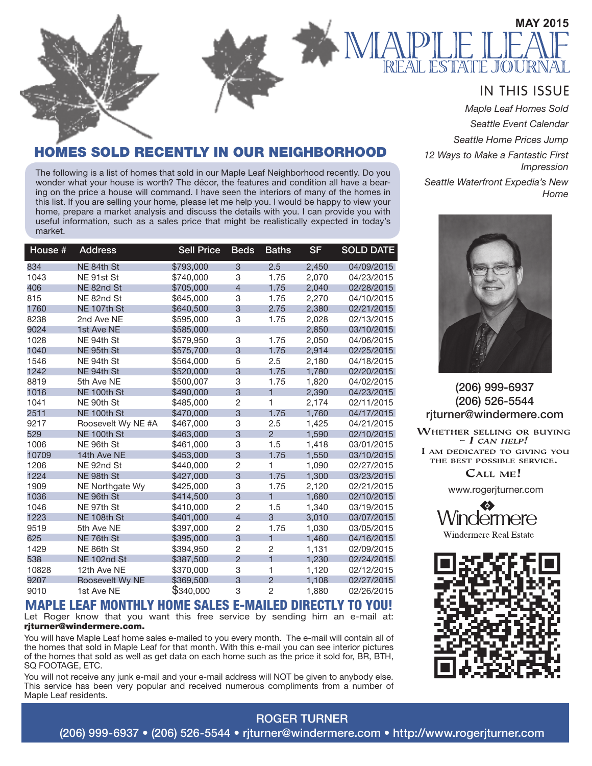

#### **IN THIS ISSUE**

*Maple Leaf Homes Sold*

*Seattle Event Calendar*

*Seattle Home Prices Jump*

*12 Ways to Make a Fantastic First Impression*

*Seattle Waterfront Expedia's New Home* 



(206) 999-6937 (206) 526-5544 rjturner@windermere.com

**WHETHER SELLING OR BUYING**  $- I$  CAN HELP! I AM DEDICATED TO GIVING YOU THE BEST POSSIBLE SERVICE.

CALL ME!

www.rogerjturner.com





#### SOLD RECENTLY IN OUR NEIGHBORHOOD

The following is a list of homes that sold in our Maple Leaf Neighborhood recently. Do you wonder what your house is worth? The décor, the features and condition all have a bearing on the price a house will command. I have seen the interiors of many of the homes in this list. If you are selling your home, please let me help you. I would be happy to view your home, prepare a market analysis and discuss the details with you. I can provide you with useful information, such as a sales price that might be realistically expected in today's market.

| House # | <b>Address</b>     | <b>Sell Price</b> | <b>Beds</b>    | <b>Baths</b>            | <b>SF</b> | <b>SOLD DATE</b> |
|---------|--------------------|-------------------|----------------|-------------------------|-----------|------------------|
| 834     | NE 84th St         | \$793,000         | 3              | 2.5                     | 2,450     | 04/09/2015       |
| 1043    | NE 91st St         | \$740,000         | 3              | 1.75                    | 2.070     | 04/23/2015       |
| 406     | NE 82nd St         | \$705,000         | $\overline{4}$ | 1.75                    | 2,040     | 02/28/2015       |
| 815     | NE 82nd St         | \$645,000         | 3              | 1.75                    | 2,270     | 04/10/2015       |
| 1760    | NE 107th St        | \$640,500         | 3              | 2.75                    | 2,380     | 02/21/2015       |
| 8238    | 2nd Ave NE         | \$595,000         | 3              | 1.75                    | 2,028     | 02/13/2015       |
| 9024    | 1st Ave NE         | \$585,000         |                |                         | 2,850     | 03/10/2015       |
| 1028    | NE 94th St         | \$579,950         | 3              | 1.75                    | 2,050     | 04/06/2015       |
| 1040    | NE 95th St         | \$575,700         | 3              | 1.75                    | 2,914     | 02/25/2015       |
| 1546    | NE 94th St         | \$564,000         | 5              | 2.5                     | 2,180     | 04/18/2015       |
| 1242    | NE 94th St         | \$520,000         | 3              | 1.75                    | 1,780     | 02/20/2015       |
| 8819    | 5th Ave NE         | \$500,007         | 3              | 1.75                    | 1,820     | 04/02/2015       |
| 1016    | NE 100th St        | \$490,000         | 3              | $\overline{\mathbf{1}}$ | 2,390     | 04/23/2015       |
| 1041    | NE 90th St         | \$485,000         | $\overline{2}$ | 1                       | 2,174     | 02/11/2015       |
| 2511    | NE 100th St        | \$470,000         | 3              | 1.75                    | 1,760     | 04/17/2015       |
| 9217    | Roosevelt Wy NE #A | \$467,000         | 3              | 2.5                     | 1,425     | 04/21/2015       |
| 529     | NE 100th St        | \$463,000         | 3              | $\overline{2}$          | 1,590     | 02/10/2015       |
| 1006    | NE 96th St         | \$461.000         | 3              | 1.5                     | 1.418     | 03/01/2015       |
| 10709   | 14th Ave NE        | \$453,000         | 3              | 1.75                    | 1,550     | 03/10/2015       |
| 1206    | NE 92nd St         | \$440,000         | $\overline{2}$ | 1                       | 1,090     | 02/27/2015       |
| 1224    | NE 98th St         | \$427,000         | 3              | 1.75                    | 1,300     | 03/23/2015       |
| 1909    | NE Northgate Wy    | \$425,000         | 3              | 1.75                    | 2,120     | 02/21/2015       |
| 1036    | NE 96th St         | \$414,500         | 3              | $\overline{\mathbf{1}}$ | 1,680     | 02/10/2015       |
| 1046    | NE 97th St         | \$410,000         | $\overline{2}$ | 1.5                     | 1.340     | 03/19/2015       |
| 1223    | <b>NE 108th St</b> | \$401,000         | $\overline{4}$ | 3                       | 3,010     | 03/07/2015       |
| 9519    | 5th Ave NE         | \$397,000         | $\overline{c}$ | 1.75                    | 1,030     | 03/05/2015       |
| 625     | NE 76th St         | \$395,000         | 3              | $\overline{\mathbf{1}}$ | 1.460     | 04/16/2015       |
| 1429    | NE 86th St         | \$394,950         | $\overline{2}$ | 2                       | 1,131     | 02/09/2015       |
| 538     | NE 102nd St        | \$387,500         | $\overline{c}$ | $\overline{\mathbf{1}}$ | 1,230     | 02/24/2015       |
| 10828   | 12th Ave NE        | \$370,000         | 3              | 1                       | 1,120     | 02/12/2015       |
| 9207    | Roosevelt Wy NE    | \$369,500         | 3              | $\mathfrak{p}$          | 1,108     | 02/27/2015       |
| 9010    | 1st Ave NE         | \$340,000         | 3              | $\overline{2}$          | 1,880     | 02/26/2015       |

#### **M**APLE LEAF MONTHLY HOME SALES E-MAILED DIRECTLY TO YOU! Let Roger know that you want this free service by sending him an e-mail at: rjturner@windermere.com.

You will have Maple Leaf home sales e-mailed to you every month. The e-mail will contain all of the homes that sold in Maple Leaf for that month. With this e-mail you can see interior pictures of the homes that sold as well as get data on each home such as the price it sold for, BR, BTH, SQ FOOTAGE, ETC.

You will not receive any junk e-mail and your e-mail address will NOT be given to anybody else. This service has been very popular and received numerous compliments from a number of Maple Leaf residents.

ROGER TURNER (206) 999-6937 • (206) 526-5544 • rjturner@windermere.com • http://www.rogerjturner.com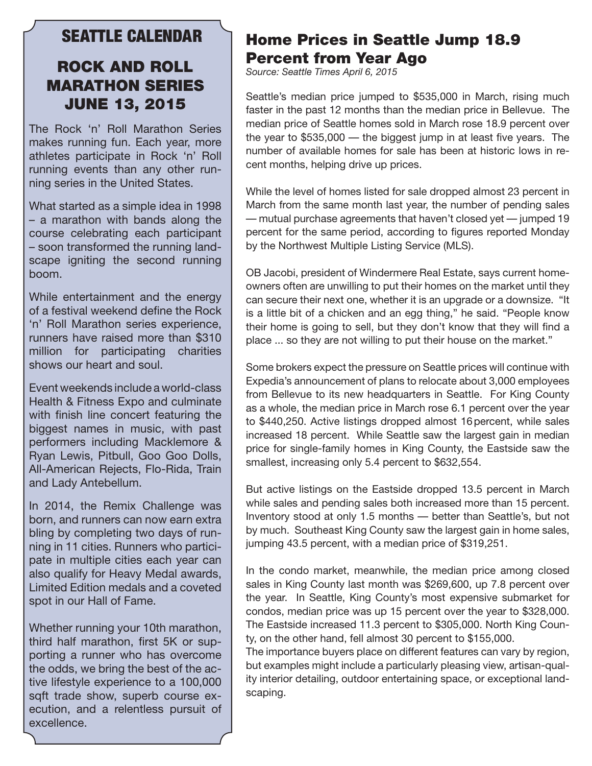#### SEATTLE CALENDAR

## ROCK AND ROLL MARATHON SERIES JUNE 13, 2015

The Rock 'n' Roll Marathon Series makes running fun. Each year, more athletes participate in Rock 'n' Roll running events than any other running series in the United States.

What started as a simple idea in 1998 – a marathon with bands along the course celebrating each participant – soon transformed the running landscape igniting the second running boom.

While entertainment and the energy of a festival weekend define the Rock 'n' Roll Marathon series experience, runners have raised more than \$310 million for participating charities shows our heart and soul.

Event weekends include a world-class Health & Fitness Expo and culminate with finish line concert featuring the biggest names in music, with past performers including Macklemore & Ryan Lewis, Pitbull, Goo Goo Dolls, All-American Rejects, Flo-Rida, Train and Lady Antebellum.

In 2014, the Remix Challenge was born, and runners can now earn extra bling by completing two days of running in 11 cities. Runners who participate in multiple cities each year can also qualify for Heavy Medal awards, Limited Edition medals and a coveted spot in our Hall of Fame.

Whether running your 10th marathon, third half marathon, first 5K or supporting a runner who has overcome the odds, we bring the best of the active lifestyle experience to a 100,000 sqft trade show, superb course execution, and a relentless pursuit of excellence.

# Home Prices in Seattle Jump 18.9 Percent from Year Ago

*Source: Seattle Times April 6, 2015*

Seattle's median price jumped to \$535,000 in March, rising much faster in the past 12 months than the median price in Bellevue. The median price of Seattle homes sold in March rose 18.9 percent over the year to \$535,000 — the biggest jump in at least five years. The number of available homes for sale has been at historic lows in recent months, helping drive up prices.

While the level of homes listed for sale dropped almost 23 percent in March from the same month last year, the number of pending sales — mutual purchase agreements that haven't closed yet — jumped 19 percent for the same period, according to figures reported Monday by the Northwest Multiple Listing Service (MLS).

OB Jacobi, president of Windermere Real Estate, says current homeowners often are unwilling to put their homes on the market until they can secure their next one, whether it is an upgrade or a downsize. "It is a little bit of a chicken and an egg thing," he said. "People know their home is going to sell, but they don't know that they will find a place ... so they are not willing to put their house on the market."

Some brokers expect the pressure on Seattle prices will continue with Expedia's announcement of plans to relocate about 3,000 employees from Bellevue to its new headquarters in Seattle. For King County as a whole, the median price in March rose 6.1 percent over the year to \$440,250. Active listings dropped almost 16percent, while sales increased 18 percent. While Seattle saw the largest gain in median price for single-family homes in King County, the Eastside saw the smallest, increasing only 5.4 percent to \$632,554.

But active listings on the Eastside dropped 13.5 percent in March while sales and pending sales both increased more than 15 percent. Inventory stood at only 1.5 months — better than Seattle's, but not by much. Southeast King County saw the largest gain in home sales, jumping 43.5 percent, with a median price of \$319,251.

In the condo market, meanwhile, the median price among closed sales in King County last month was \$269,600, up 7.8 percent over the year. In Seattle, King County's most expensive submarket for condos, median price was up 15 percent over the year to \$328,000. The Eastside increased 11.3 percent to \$305,000. North King County, on the other hand, fell almost 30 percent to \$155,000.

The importance buyers place on different features can vary by region, but examples might include a particularly pleasing view, artisan-quality interior detailing, outdoor entertaining space, or exceptional landscaping.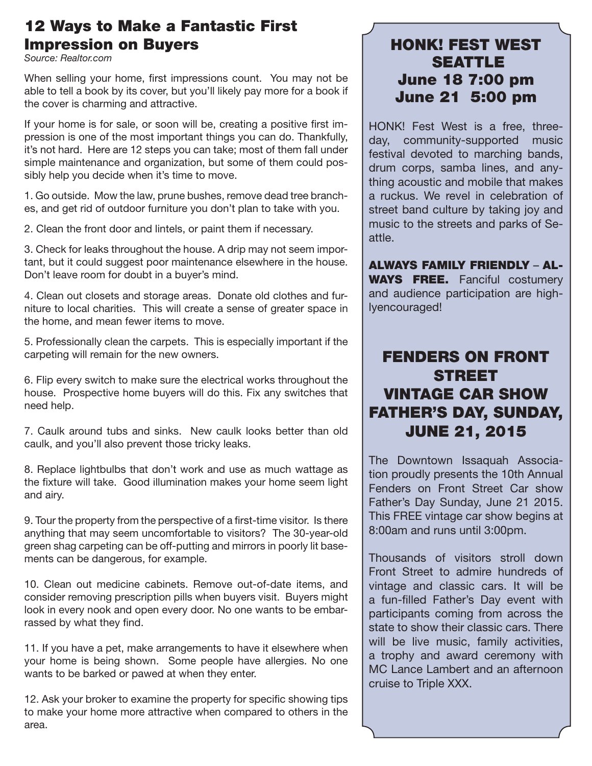## 12 Ways to Make a Fantastic First Impression on Buyers

*Source: Realtor.com*

When selling your home, first impressions count. You may not be able to tell a book by its cover, but you'll likely pay more for a book if the cover is charming and attractive.

If your home is for sale, or soon will be, creating a positive first impression is one of the most important things you can do. Thankfully, it's not hard. Here are 12 steps you can take; most of them fall under simple maintenance and organization, but some of them could possibly help you decide when it's time to move.

1. Go outside. Mow the law, prune bushes, remove dead tree branches, and get rid of outdoor furniture you don't plan to take with you.

2. Clean the front door and lintels, or paint them if necessary.

3. Check for leaks throughout the house. A drip may not seem important, but it could suggest poor maintenance elsewhere in the house. Don't leave room for doubt in a buyer's mind.

4. Clean out closets and storage areas. Donate old clothes and furniture to local charities. This will create a sense of greater space in the home, and mean fewer items to move.

5. Professionally clean the carpets. This is especially important if the carpeting will remain for the new owners.

6. Flip every switch to make sure the electrical works throughout the house. Prospective home buyers will do this. Fix any switches that need help.

7. Caulk around tubs and sinks. New caulk looks better than old caulk, and you'll also prevent those tricky leaks.

8. Replace lightbulbs that don't work and use as much wattage as the fixture will take. Good illumination makes your home seem light and airy.

9. Tour the property from the perspective of a first-time visitor. Is there anything that may seem uncomfortable to visitors? The 30-year-old green shag carpeting can be off-putting and mirrors in poorly lit basements can be dangerous, for example.

10. Clean out medicine cabinets. Remove out-of-date items, and consider removing prescription pills when buyers visit. Buyers might look in every nook and open every door. No one wants to be embarrassed by what they find.

11. If you have a pet, make arrangements to have it elsewhere when your home is being shown. Some people have allergies. No one wants to be barked or pawed at when they enter.

12. Ask your broker to examine the property for specific showing tips to make your home more attractive when compared to others in the area.

### HONK! FEST WEST **SEATTLE** June 18 7:00 pm June 21 5:00 pm

HONK! Fest West is a free, threeday, community-supported music festival devoted to marching bands, drum corps, samba lines, and anything acoustic and mobile that makes a ruckus. We revel in celebration of street band culture by taking joy and music to the streets and parks of Seattle.

ALWAYS FAMILY FRIENDLY – AL-WAYS FREE. Fanciful costumery and audience participation are highlyencouraged!

## FENDERS ON FRONT STREET VINTAGE CAR SHOW FATHER'S DAY, SUNDAY, JUNE 21, 2015

The Downtown Issaquah Association proudly presents the 10th Annual Fenders on Front Street Car show Father's Day Sunday, June 21 2015. This FREE vintage car show begins at 8:00am and runs until 3:00pm.

Thousands of visitors stroll down Front Street to admire hundreds of vintage and classic cars. It will be a fun-filled Father's Day event with participants coming from across the state to show their classic cars. There will be live music, family activities, a trophy and award ceremony with MC Lance Lambert and an afternoon cruise to Triple XXX.